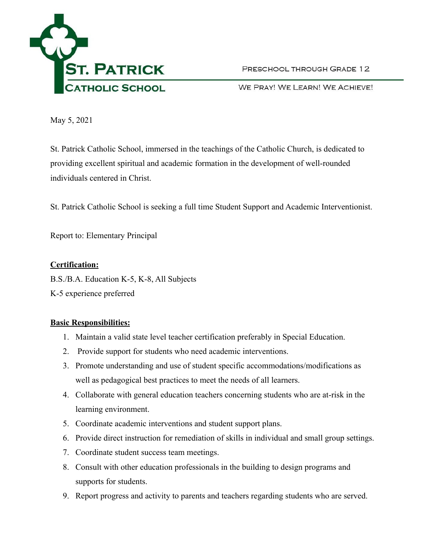

PRESCHOOL THROUGH GRADE 12

WE PRAY! WE LEARN! WE ACHIEVE!

May 5, 2021

St. Patrick Catholic School, immersed in the teachings of the Catholic Church, is dedicated to providing excellent spiritual and academic formation in the development of well-rounded individuals centered in Christ.

St. Patrick Catholic School is seeking a full time Student Support and Academic Interventionist.

Report to: Elementary Principal

## **Certification:**

B.S./B.A. Education K-5, K-8, All Subjects

K-5 experience preferred

## **Basic Responsibilities:**

- 1. Maintain a valid state level teacher certification preferably in Special Education.
- 2. Provide support for students who need academic interventions.
- 3. Promote understanding and use of student specific accommodations/modifications as well as pedagogical best practices to meet the needs of all learners.
- 4. Collaborate with general education teachers concerning students who are at-risk in the learning environment.
- 5. Coordinate academic interventions and student support plans.
- 6. Provide direct instruction for remediation of skills in individual and small group settings.
- 7. Coordinate student success team meetings.
- 8. Consult with other education professionals in the building to design programs and supports for students.
- 9. Report progress and activity to parents and teachers regarding students who are served.